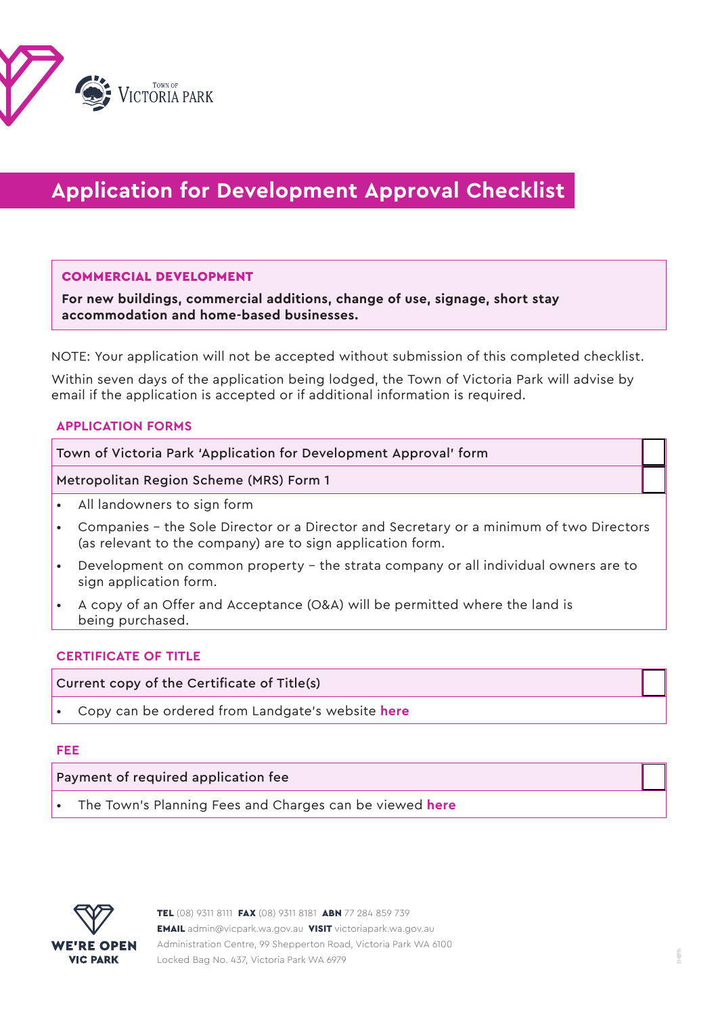

# **Application for Development Approval Checklist**

#### COMMERCIAL DEVELOPMENT

**For new buildings, commercial additions, change of use, signage, short stay accommodation and home-based businesses.**

NOTE: Your application will not be accepted without submission of this completed checklist.

Within seven days of the application being lodged, the Town of Victoria Park will advise by email if the application is accepted or if additional information is required.

# **APPLICATION FORMS**

Town of Victoria Park 'Application for Development Approval' form

Metropolitan Region Scheme (MRS) Form 1

- All landowners to sign form
- Companies the Sole Director or a Director and Secretary or a minimum of two Directors (as relevant to the company) are to sign application form.
- Development on common property the strata company or all individual owners are to sign application form.
- A copy of an Offer and Acceptance (O&A) will be permitted where the land is being purchased.

## **CERTIFICATE OF TITLE**

## Current copy of the Certificate of Title(s)

• Copy can be ordered from Landgate's website **[here](https://www0.landgate.wa.gov.au/titles-and-surveys/certificate-of-title)**

#### **FEE**

## Payment of required application fee

• The Town's Planning Fees and Charges can be viewed **[here](https://www.victoriapark.wa.gov.au/Build-and-develop/Planning/Planning-fees)**

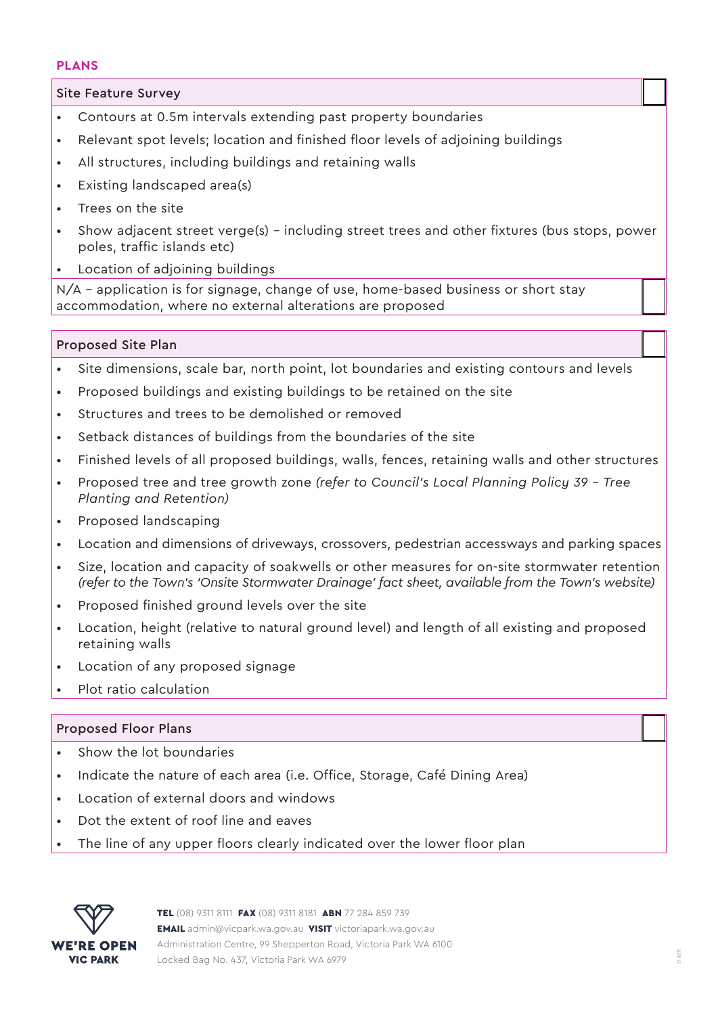## **PLANS**

Site Feature Survey

- Contours at 0.5m intervals extending past property boundaries
- Relevant spot levels; location and finished floor levels of adjoining buildings
- All structures, including buildings and retaining walls
- Existing landscaped area(s)
- Trees on the site
- Show adjacent street verge(s) including street trees and other fixtures (bus stops, power poles, traffic islands etc)
- Location of adjoining buildings

N/A – application is for signage, change of use, home-based business or short stay accommodation, where no external alterations are proposed

# Proposed Site Plan

- Site dimensions, scale bar, north point, lot boundaries and existing contours and levels
- Proposed buildings and existing buildings to be retained on the site
- Structures and trees to be demolished or removed
- Setback distances of buildings from the boundaries of the site
- Finished levels of all proposed buildings, walls, fences, retaining walls and other structures
- Proposed tree and tree growth zone *(refer to Council's Local Planning Policy 39 Tree Planting and Retention)*
- Proposed landscaping
- Location and dimensions of driveways, crossovers, pedestrian accessways and parking spaces
- Size, location and capacity of soakwells or other measures for on-site stormwater retention *(refer to the Town's 'Onsite Stormwater Drainage' fact sheet, available from the Town's website)*
- Proposed finished ground levels over the site
- Location, height (relative to natural ground level) and length of all existing and proposed retaining walls
- Location of any proposed signage
- Plot ratio calculation

# Proposed Floor Plans

- Show the lot boundaries
- Indicate the nature of each area (i.e. Office, Storage, Café Dining Area)
- Location of external doors and windows
- Dot the extent of roof line and eaves
- The line of any upper floors clearly indicated over the lower floor plan

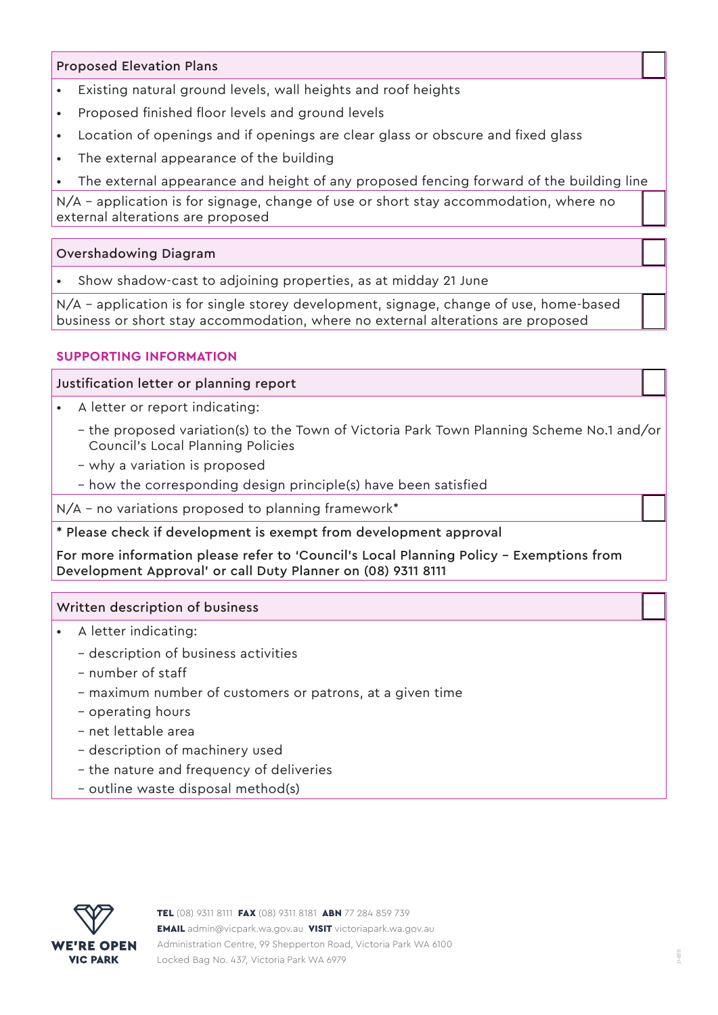# Proposed Elevation Plans

- Existing natural ground levels, wall heights and roof heights
- Proposed finished floor levels and ground levels
- Location of openings and if openings are clear glass or obscure and fixed glass
- The external appearance of the building
- The external appearance and height of any proposed fencing forward of the building line

N/A – application is for signage, change of use or short stay accommodation, where no external alterations are proposed

# Overshadowing Diagram

• Show shadow-cast to adjoining properties, as at midday 21 June

N/A - application is for single storey development, signage, change of use, home-based business or short stay accommodation, where no external alterations are proposed

# **SUPPORTING INFORMATION**

# Justification letter or planning report

- A letter or report indicating:
	- the proposed variation(s) to the Town of Victoria Park Town Planning Scheme No.1 and/or Council's Local Planning Policies
	- why a variation is proposed
	- how the corresponding design principle(s) have been satisfied

N/A – no variations proposed to planning framework\*

\* Please check if development is exempt from development approval

For more information please refer to 'Council's Local Planning Policy – Exemptions from Development Approval' or call Duty Planner on (08) 9311 8111

# Written description of business

- A letter indicating:
	- description of business activities
	- number of staff
	- maximum number of customers or patrons, at a given time
	- operating hours
	- net lettable area
	- description of machinery used
	- the nature and frequency of deliveries
	- outline waste disposal method(s)